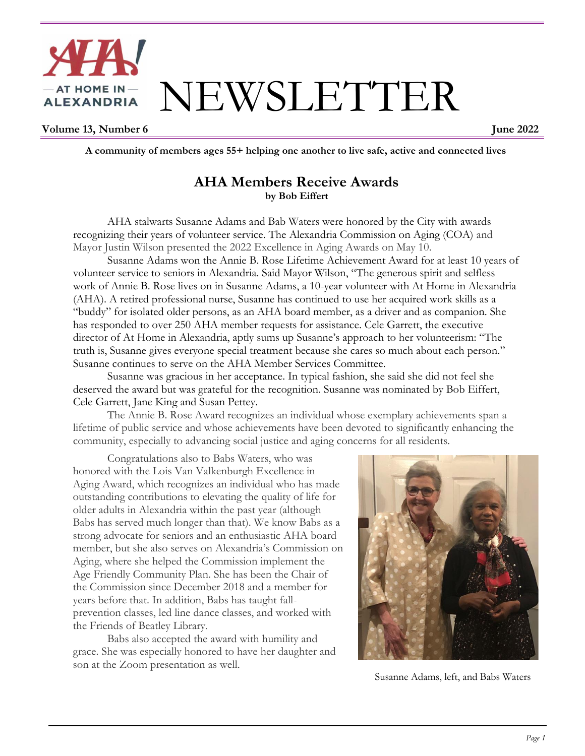

**Volume 13, Number 6** June 2022

 **A community of members ages 55+ helping one another to live safe, active and connected lives**

#### **AHA Members Receive Awards by Bob Eiffert**

AHA stalwarts Susanne Adams and Bab Waters were honored by the City with awards recognizing their years of volunteer service. The Alexandria Commission on Aging (COA) and Mayor Justin Wilson presented the 2022 Excellence in Aging Awards on May 10.

Susanne Adams won the Annie B. Rose Lifetime Achievement Award for at least 10 years of volunteer service to seniors in Alexandria. Said Mayor Wilson, "The generous spirit and selfless work of Annie B. Rose lives on in Susanne Adams, a 10-year volunteer with At Home in Alexandria (AHA). A retired professional nurse, Susanne has continued to use her acquired work skills as a "buddy" for isolated older persons, as an AHA board member, as a driver and as companion. She has responded to over 250 AHA member requests for assistance. Cele Garrett, the executive director of At Home in Alexandria, aptly sums up Susanne's approach to her volunteerism: "The truth is, Susanne gives everyone special treatment because she cares so much about each person." Susanne continues to serve on the AHA Member Services Committee.

Susanne was gracious in her acceptance. In typical fashion, she said she did not feel she deserved the award but was grateful for the recognition. Susanne was nominated by Bob Eiffert, Cele Garrett, Jane King and Susan Pettey.

The Annie B. Rose Award recognizes an individual whose exemplary achievements span a lifetime of public service and whose achievements have been devoted to significantly enhancing the community, especially to advancing social justice and aging concerns for all residents.

Congratulations also to Babs Waters, who was honored with the Lois Van Valkenburgh Excellence in Aging Award, which recognizes an individual who has made outstanding contributions to elevating the quality of life for older adults in Alexandria within the past year (although Babs has served much longer than that). We know Babs as a strong advocate for seniors and an enthusiastic AHA board member, but she also serves on Alexandria's Commission on Aging, where she helped the Commission implement the Age Friendly Community Plan. She has been the Chair of the Commission since December 2018 and a member for years before that. In addition, Babs has taught fallprevention classes, led line dance classes, and worked with the Friends of Beatley Library.

Babs also accepted the award with humility and grace. She was especially honored to have her daughter and son at the Zoom presentation as well.



Susanne Adams, left, and Babs Waters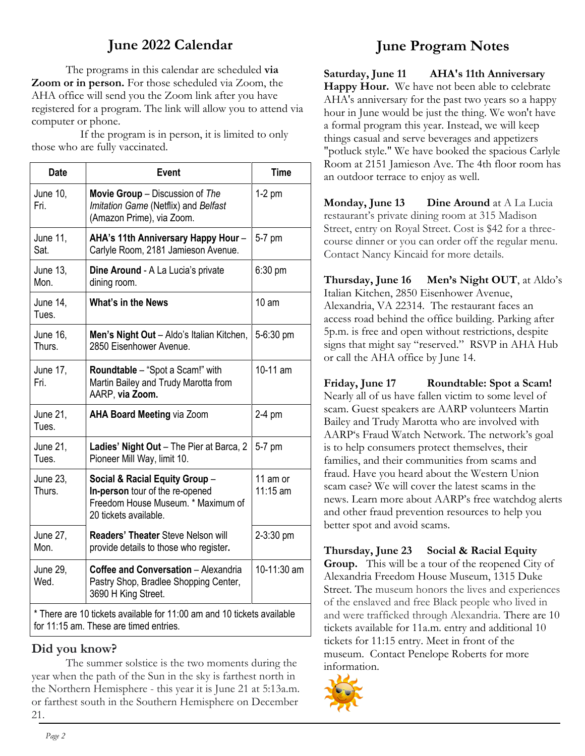# **June 2022 Calendar**

The programs in this calendar are scheduled **via Zoom or in person.** For those scheduled via Zoom, the AHA office will send you the Zoom link after you have registered for a program. The link will allow you to attend via computer or phone.

 If the program is in person, it is limited to only those who are fully vaccinated.

| <b>Date</b>                                                                                                      | <b>Event</b>                                                                                                                     | <b>Time</b>          |
|------------------------------------------------------------------------------------------------------------------|----------------------------------------------------------------------------------------------------------------------------------|----------------------|
| June 10,<br>Fri.                                                                                                 | Movie Group - Discussion of The<br>Imitation Game (Netflix) and Belfast<br>(Amazon Prime), via Zoom.                             | $1-2$ pm             |
| June 11,<br>Sat.                                                                                                 | AHA's 11th Anniversary Happy Hour -<br>Carlyle Room, 2181 Jamieson Avenue.                                                       | 5-7 pm               |
| June 13,<br>Mon.                                                                                                 | Dine Around - A La Lucia's private<br>dining room.                                                                               | $6:30$ pm            |
| June 14,<br>Tues.                                                                                                | What's in the News                                                                                                               | 10 <sub>am</sub>     |
| June 16,<br>Thurs.                                                                                               | Men's Night Out - Aldo's Italian Kitchen,<br>2850 Eisenhower Avenue.                                                             | 5-6:30 pm            |
| June 17,<br>Fri.                                                                                                 | <b>Roundtable</b> – "Spot a Scam!" with<br>Martin Bailey and Trudy Marotta from<br>AARP, via Zoom.                               | 10-11 am             |
| June 21,<br>Tues.                                                                                                | <b>AHA Board Meeting via Zoom</b>                                                                                                | 2-4 pm               |
| June 21,<br>Tues.                                                                                                | Ladies' Night Out - The Pier at Barca, 2<br>Pioneer Mill Way, limit 10.                                                          | 5-7 pm               |
| June 23,<br>Thurs.                                                                                               | Social & Racial Equity Group -<br>In-person tour of the re-opened<br>Freedom House Museum. * Maximum of<br>20 tickets available. | 11 am or<br>11:15 am |
| June 27,<br>Mon.                                                                                                 | <b>Readers' Theater Steve Nelson will</b><br>provide details to those who register.                                              | 2-3:30 pm            |
| June 29,<br>Wed.                                                                                                 | Coffee and Conversation - Alexandria<br>Pastry Shop, Bradlee Shopping Center,<br>3690 H King Street.                             | 10-11:30 am          |
| * There are 10 tickets available for 11:00 am and 10 tickets available<br>for 11:15 am. These are timed entries. |                                                                                                                                  |                      |

#### **Did you know?**

The summer solstice is the two moments during the year when the path of the Sun in the sky is farthest north in the Northern Hemisphere - this year it is June 21 at 5:13a.m. or farthest south in the Southern Hemisphere on December 21.

## **June Program Notes**

**Saturday, June 11 AHA's 11th Anniversary Happy Hour.** We have not been able to celebrate AHA's anniversary for the past two years so a happy hour in June would be just the thing. We won't have a formal program this year. Instead, we will keep things casual and serve beverages and appetizers "potluck style." We have booked the spacious Carlyle Room at 2151 Jamieson Ave. The 4th floor room has an outdoor terrace to enjoy as well.

**Monday, June 13 Dine Around** at A La Lucia restaurant's private dining room at 315 Madison Street, entry on Royal Street. Cost is \$42 for a threecourse dinner or you can order off the regular menu. Contact Nancy Kincaid for more details.

**Thursday, June 16 Men's Night OUT**, at Aldo's Italian Kitchen, 2850 Eisenhower Avenue, Alexandria, VA 22314. The restaurant faces an access road behind the office building. Parking after 5p.m. is free and open without restrictions, despite signs that might say "reserved." RSVP in AHA Hub or call the AHA office by June 14.

**Friday, June 17 Roundtable: Spot a Scam!** Nearly all of us have fallen victim to some level of scam. Guest speakers are AARP volunteers Martin Bailey and Trudy Marotta who are involved with AARP's Fraud Watch Network. The network's goal is to help consumers protect themselves, their families, and their communities from scams and fraud. Have you heard about the Western Union scam case? We will cover the latest scams in the news. Learn more about AARP's free watchdog alerts and other fraud prevention resources to help you better spot and avoid scams.

**Thursday, June 23 Social & Racial Equity Group.** This will be a tour of the reopened City of Alexandria Freedom House Museum, 1315 Duke Street. The museum honors the lives and experiences of the enslaved and free Black people who lived in and were trafficked through Alexandria. There are 10 tickets available for 11a.m. entry and additional 10 tickets for 11:15 entry. Meet in front of the museum. Contact Penelope Roberts for more information.

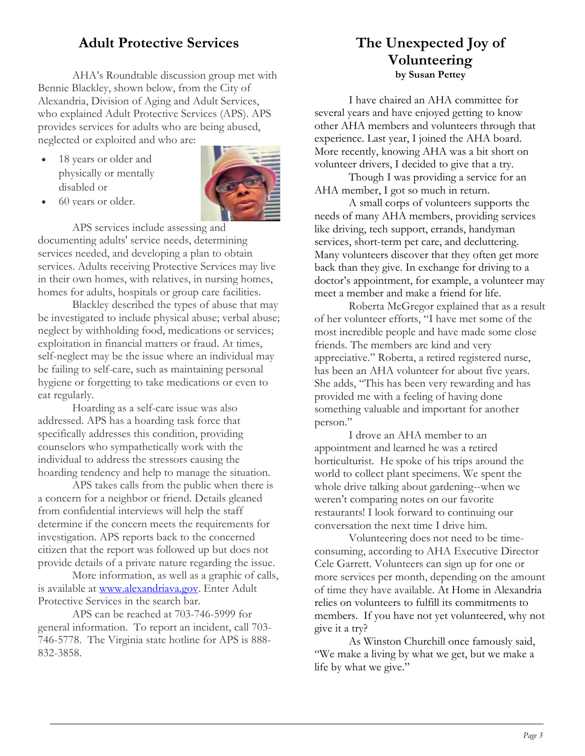## **Adult Protective Services**

AHA's Roundtable discussion group met with Bennie Blackley, shown below, from the City of Alexandria, Division of Aging and Adult Services, who explained Adult Protective Services (APS). APS provides services for adults who are being abused, neglected or exploited and who are:

 18 years or older and physically or mentally disabled or



60 years or older.

APS services include assessing and documenting adults' service needs, determining services needed, and developing a plan to obtain services. Adults receiving Protective Services may live in their own homes, with relatives, in nursing homes, homes for adults, hospitals or group care facilities.

Blackley described the types of abuse that may be investigated to include physical abuse; verbal abuse; neglect by withholding food, medications or services; exploitation in financial matters or fraud. At times, self-neglect may be the issue where an individual may be failing to self-care, such as maintaining personal hygiene or forgetting to take medications or even to eat regularly.

Hoarding as a self-care issue was also addressed. APS has a hoarding task force that specifically addresses this condition, providing counselors who sympathetically work with the individual to address the stressors causing the hoarding tendency and help to manage the situation.

APS takes calls from the public when there is a concern for a neighbor or friend. Details gleaned from confidential interviews will help the staff determine if the concern meets the requirements for investigation. APS reports back to the concerned citizen that the report was followed up but does not provide details of a private nature regarding the issue.

More information, as well as a graphic of calls, is available at [www.alexandriava.gov.](http://www.alexandriava.gov/) Enter Adult Protective Services in the search bar.

APS can be reached at 703-746-5999 for general information. To report an incident, call 703- 746-5778. The Virginia state hotline for APS is 888- 832-3858.

### **The Unexpected Joy of Volunteering by Susan Pettey**

I have chaired an AHA committee for several years and have enjoyed getting to know other AHA members and volunteers through that experience. Last year, I joined the AHA board. More recently, knowing AHA was a bit short on volunteer drivers, I decided to give that a try.

Though I was providing a service for an AHA member, I got so much in return.

A small corps of volunteers supports the needs of many AHA members, providing services like driving, tech support, errands, handyman services, short-term pet care, and decluttering. Many volunteers discover that they often get more back than they give. In exchange for driving to a doctor's appointment, for example, a volunteer may meet a member and make a friend for life.

Roberta McGregor explained that as a result of her volunteer efforts, "I have met some of the most incredible people and have made some close friends. The members are kind and very appreciative." Roberta, a retired registered nurse, has been an AHA volunteer for about five years. She adds, "This has been very rewarding and has provided me with a feeling of having done something valuable and important for another person."

I drove an AHA member to an appointment and learned he was a retired horticulturist. He spoke of his trips around the world to collect plant specimens. We spent the whole drive talking about gardening--when we weren't comparing notes on our favorite restaurants! I look forward to continuing our conversation the next time I drive him.

Volunteering does not need to be timeconsuming, according to AHA Executive Director Cele Garrett. Volunteers can sign up for one or more services per month, depending on the amount of time they have available. At Home in Alexandria relies on volunteers to fulfill its commitments to members. If you have not yet volunteered, why not give it a try?

As Winston Churchill once famously said, "We make a living by what we get, but we make a life by what we give."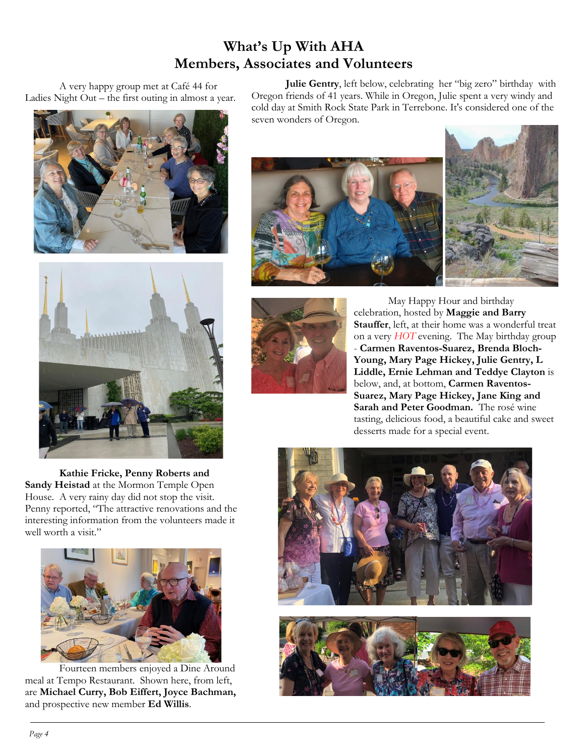## **What's Up With AHA Members, Associates and Volunteers**

A very happy group met at Café 44 for Ladies Night Out – the first outing in almost a year.





**Kathie Fricke, Penny Roberts and Sandy Heistad** at the Mormon Temple Open House. A very rainy day did not stop the visit. Penny reported, "The attractive renovations and the interesting information from the volunteers made it well worth a visit."



Fourteen members enjoyed a Dine Around meal at Tempo Restaurant. Shown here, from left, are **Michael Curry, Bob Eiffert, Joyce Bachman,** and prospective new member **Ed Willis**.

**Julie Gentry**, left below, celebrating her "big zero" birthday with Oregon friends of 41 years. While in Oregon, Julie spent a very windy and cold day at Smith Rock State Park in Terrebone. It's considered one of the seven wonders of Oregon.





 May Happy Hour and birthday celebration, hosted by **Maggie and Barry Stauffer**, left, at their home was a wonderful treat on a very *HOT* evening. The May birthday group - **Carmen Raventos-Suarez, Brenda Bloch-Young, Mary Page Hickey, Julie Gentry, L Liddle, Ernie Lehman and Teddye Clayton** is below, and, at bottom, **Carmen Raventos-Suarez, Mary Page Hickey, Jane King and Sarah and Peter Goodman.** The rosé wine tasting, delicious food, a beautiful cake and sweet desserts made for a special event.

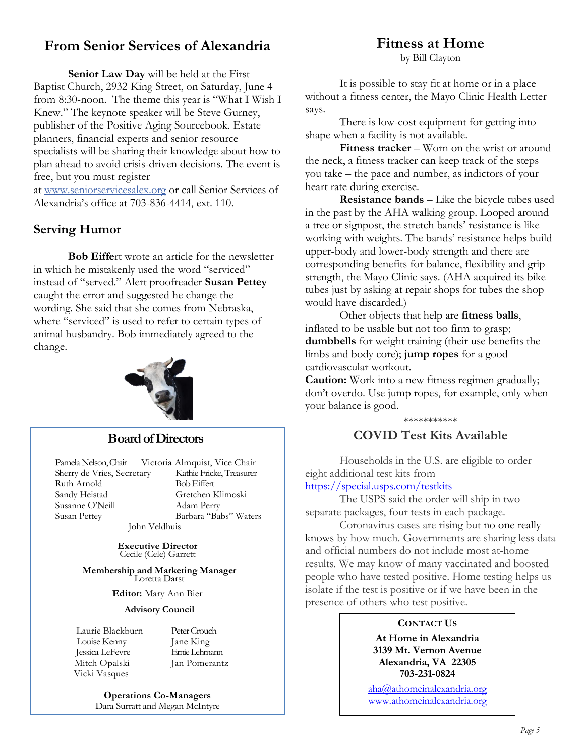## **From Senior Services of Alexandria**

**Senior Law Day** will be held at the First Baptist Church, 2932 King Street, on Saturday, June 4 from 8:30-noon. The theme this year is "What I Wish I Knew." The keynote speaker will be Steve Gurney, publisher of the Positive Aging Sourcebook. Estate planners, financial experts and senior resource specialists will be sharing their knowledge about how to plan ahead to avoid crisis-driven decisions. The event is free, but you must register

at [www.seniorservicesalex.org](http://www.seniorservicesalex.org/) or call Senior Services of Alexandria's office at 703-836-4414, ext. 110.

### **Serving Humor**

**Bob Eiffe**rt wrote an article for the newsletter in which he mistakenly used the word "serviced" instead of "served." Alert proofreader **Susan Pettey** caught the error and suggested he change the wording. She said that she comes from Nebraska, where "serviced" is used to refer to certain types of animal husbandry. Bob immediately agreed to the change.



#### **Board of Directors**

Pamela Nelson, Chair Victoria Almquist, Vice Chair Sherry de Vries, Secretary Kathie Fricke, Treasurer Ruth Arnold Bob Eiffert Sandy Heistad Gretchen Klimoski Susanne O'Neill Adam Perry Susan Pettey Barbara "Babs" Waters

John Veldhuis

**Executive Director** Cecile (Cele) Garrett

**Membership and Marketing Manager** Loretta Darst

**Editor:** Mary Ann Bier

#### **Advisory Council**

 Laurie Blackburn Peter Crouch Louise Kenny Jane King Jessica LeFevre Ernie Lehmann Mitch Opalski Jan Pomerantz Vicki Vasques

**Operations Co-Managers** Dara Surratt and Megan McIntyre

## **Fitness at Home**

by Bill Clayton

It is possible to stay fit at home or in a place without a fitness center, the Mayo Clinic Health Letter says.

There is low-cost equipment for getting into shape when a facility is not available.

 **Fitness tracker** – Worn on the wrist or around the neck, a fitness tracker can keep track of the steps you take – the pace and number, as indictors of your heart rate during exercise.

 **Resistance bands** – Like the bicycle tubes used in the past by the AHA walking group. Looped around a tree or signpost, the stretch bands' resistance is like working with weights. The bands' resistance helps build upper-body and lower-body strength and there are corresponding benefits for balance, flexibility and grip strength, the Mayo Clinic says. (AHA acquired its bike tubes just by asking at repair shops for tubes the shop would have discarded.)

 Other objects that help are **fitness balls**, inflated to be usable but not too firm to grasp; **dumbbells** for weight training (their use benefits the limbs and body core); **jump ropes** for a good cardiovascular workout.

**Caution:** Work into a new fitness regimen gradually; don't overdo. Use jump ropes, for example, only when your balance is good.

#### \*\*\*\*\*\*\*\*\*\*\* **COVID Test Kits Available**

Households in the U.S. are eligible to order eight additional test kits from

<https://special.usps.com/testkits>

The USPS said the order will ship in two separate packages, four tests in each package.

Coronavirus cases are rising but no one really knows by how much. Governments are sharing less data and official numbers do not include most at-home results. We may know of many vaccinated and boosted people who have tested positive. Home testing helps us isolate if the test is positive or if we have been in the presence of others who test positive.

#### **CONTACT US**

**At Home in Alexandria 3139 Mt. Vernon Avenue Alexandria, VA 22305 703-231-0824**

[aha@athomeinalexandria.org](mailto:aha@athomeinalexandria.org) [www.athomeinalexandria.org](http://www.athomeinalexandria.org/)